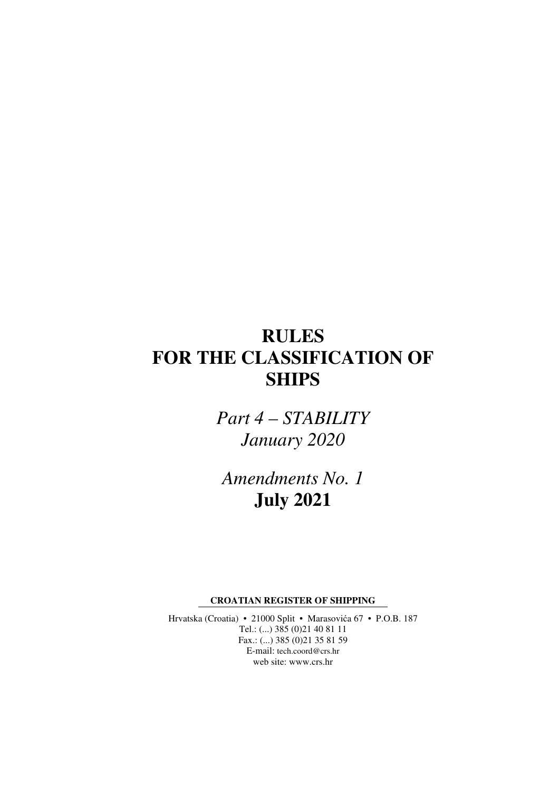# **RULES FOR THE CLASSIFICATION OF SHIPS**

*Part 4 – STABILITY January 2020* 

*Amendments No. 1*  **July 2021** 

**CROATIAN REGISTER OF SHIPPING** 

Hrvatska (Croatia) • 21000 Split • Marasovića 67 • P.O.B. 187 Tel.: (...) 385 (0)21 40 81 11 Fax.: (...) 385 (0)21 35 81 59 E-mail: tech.coord@crs.hr web site: www.crs.hr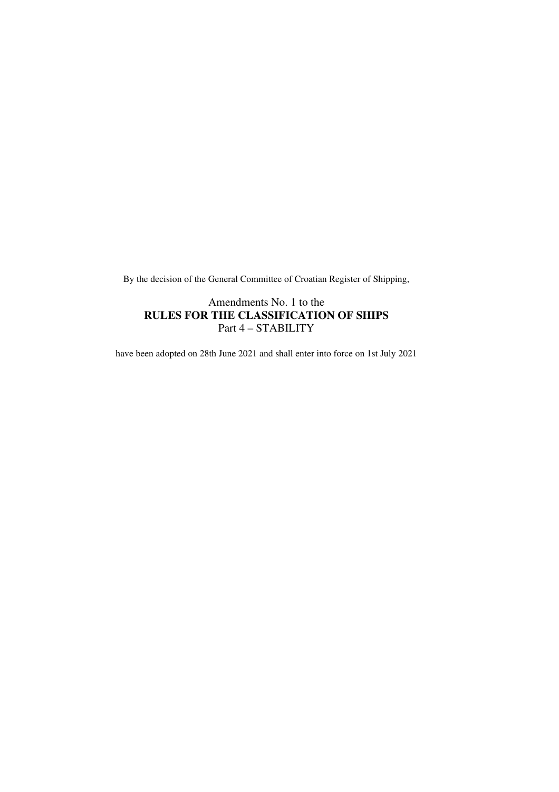By the decision of the General Committee of Croatian Register of Shipping,

#### Amendments No. 1 to the **RULES FOR THE CLASSIFICATION OF SHIPS**  Part 4 – STABILITY

have been adopted on 28th June 2021 and shall enter into force on 1st July 2021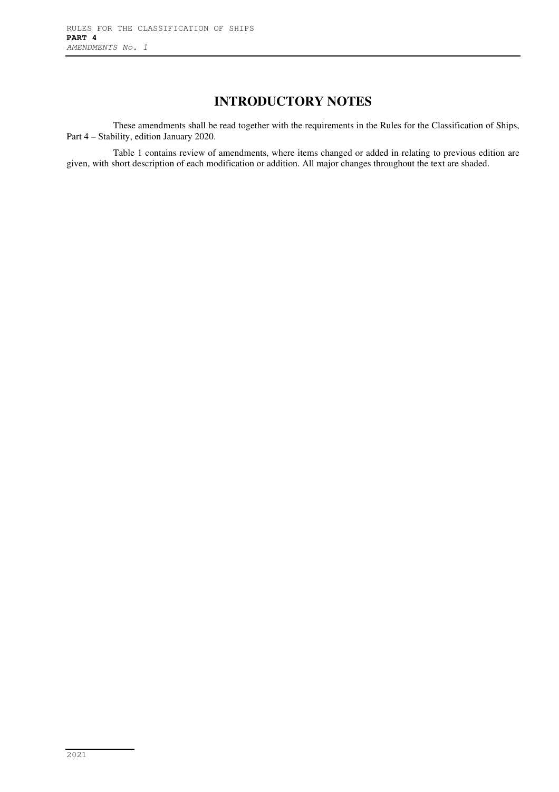### **INTRODUCTORY NOTES**

These amendments shall be read together with the requirements in the Rules for the Classification of Ships, Part 4 – Stability, edition January 2020.

Table 1 contains review of amendments, where items changed or added in relating to previous edition are given, with short description of each modification or addition. All major changes throughout the text are shaded.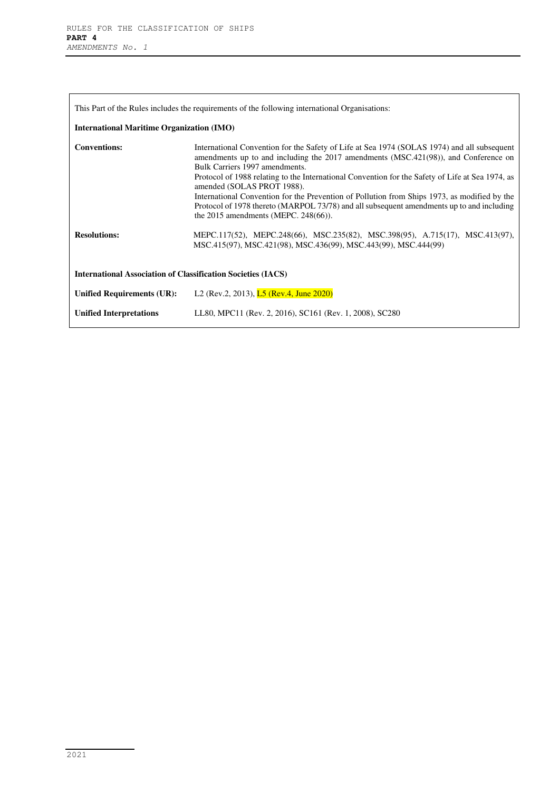| This Part of the Rules includes the requirements of the following international Organisations: |                                                                                                                                                                                                                                                                                                                                                        |  |
|------------------------------------------------------------------------------------------------|--------------------------------------------------------------------------------------------------------------------------------------------------------------------------------------------------------------------------------------------------------------------------------------------------------------------------------------------------------|--|
| <b>International Maritime Organization (IMO)</b>                                               |                                                                                                                                                                                                                                                                                                                                                        |  |
| <b>Conventions:</b>                                                                            | International Convention for the Safety of Life at Sea 1974 (SOLAS 1974) and all subsequent<br>amendments up to and including the 2017 amendments (MSC.421(98)), and Conference on<br>Bulk Carriers 1997 amendments.<br>Protocol of 1988 relating to the International Convention for the Safety of Life at Sea 1974, as<br>amended (SOLAS PROT 1988). |  |
|                                                                                                | International Convention for the Prevention of Pollution from Ships 1973, as modified by the<br>Protocol of 1978 thereto (MARPOL 73/78) and all subsequent amendments up to and including<br>the $2015$ amendments (MEPC, $248(66)$ ).                                                                                                                 |  |
| <b>Resolutions:</b>                                                                            | MEPC.117(52), MEPC.248(66), MSC.235(82), MSC.398(95), A.715(17), MSC.413(97),<br>MSC.415(97), MSC.421(98), MSC.436(99), MSC.443(99), MSC.444(99)                                                                                                                                                                                                       |  |
| <b>International Association of Classification Societies (IACS)</b>                            |                                                                                                                                                                                                                                                                                                                                                        |  |
| <b>Unified Requirements (UR):</b>                                                              | L <sub>2</sub> (Rev.2, 2013), $L_5$ (Rev.4, June 2020)                                                                                                                                                                                                                                                                                                 |  |
| <b>Unified Interpretations</b>                                                                 | LL80, MPC11 (Rev. 2, 2016), SC161 (Rev. 1, 2008), SC280                                                                                                                                                                                                                                                                                                |  |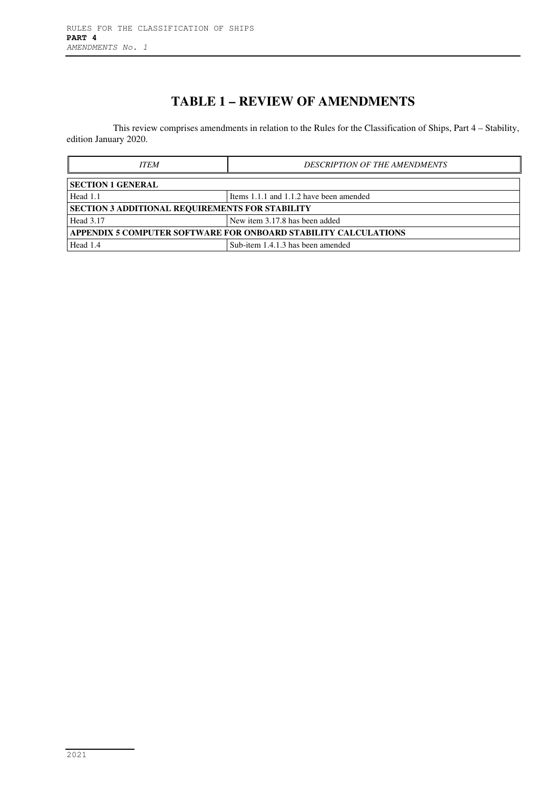## **TABLE 1 – REVIEW OF AMENDMENTS**

This review comprises amendments in relation to the Rules for the Classification of Ships, Part 4 – Stability, edition January 2020.

| <b>ITEM</b>                                                     | <b>DESCRIPTION OF THE AMENDMENTS</b>    |  |
|-----------------------------------------------------------------|-----------------------------------------|--|
| <b>SECTION 1 GENERAL</b>                                        |                                         |  |
| Head 1.1                                                        | Items 1.1.1 and 1.1.2 have been amended |  |
| <b>SECTION 3 ADDITIONAL REQUIREMENTS FOR STABILITY</b>          |                                         |  |
| Head 3.17                                                       | New item 3.17.8 has been added          |  |
| APPENDIX 5 COMPUTER SOFTWARE FOR ONBOARD STABILITY CALCULATIONS |                                         |  |
| Head 1.4                                                        | Sub-item 1.4.1.3 has been amended       |  |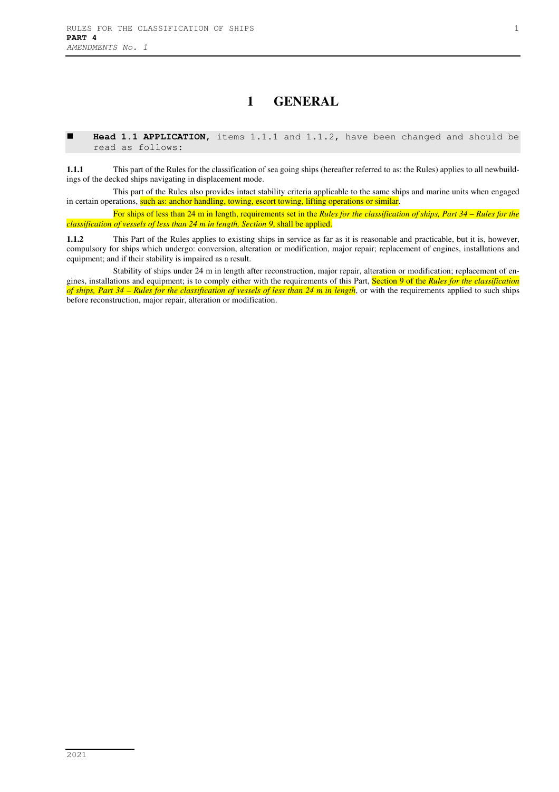### **1 GENERAL**

 **Head 1.1 APPLICATION,** items 1.1.1 and 1.1.2, have been changed and should be read as follows:

**1.1.1** This part of the Rules for the classification of sea going ships (hereafter referred to as: the Rules) applies to all newbuildings of the decked ships navigating in displacement mode.

This part of the Rules also provides intact stability criteria applicable to the same ships and marine units when engaged in certain operations, such as: anchor handling, towing, escort towing, lifting operations or similar.

For ships of less than 24 m in length, requirements set in the *Rules for the classification of ships, Part 34 – Rules for the classification of vessels of less than 24 m in length, Section 9*, shall be applied.

**1.1.2** This Part of the Rules applies to existing ships in service as far as it is reasonable and practicable, but it is, however, compulsory for ships which undergo: conversion, alteration or modification, major repair; replacement of engines, installations and equipment; and if their stability is impaired as a result.

Stability of ships under 24 m in length after reconstruction, major repair, alteration or modification; replacement of engines, installations and equipment; is to comply either with the requirements of this Part, Section 9 of the *Rules for the classification of ships, Part 34 – Rules for the classification of vessels of less than 24 m in length*, or with the requirements applied to such ships before reconstruction, major repair, alteration or modification.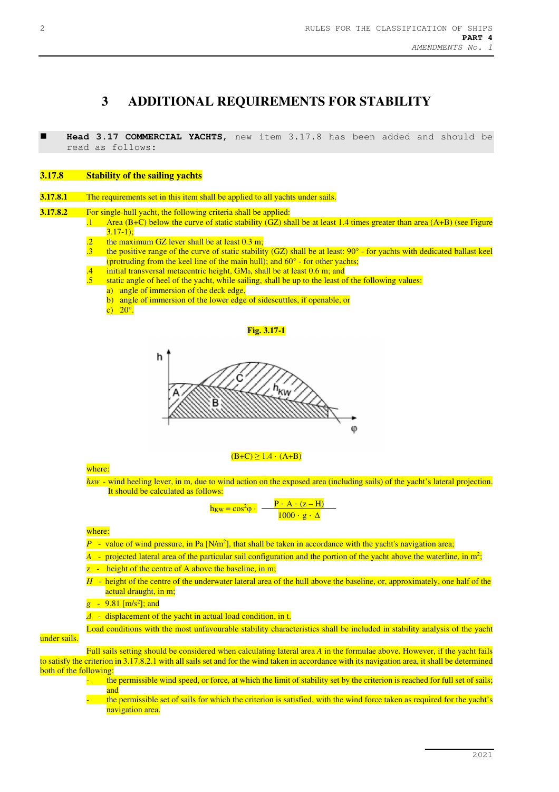### **3 ADDITIONAL REQUIREMENTS FOR STABILITY**

- **Head 3.17 COMMERCIAL YACHTS,** new item 3.17.8 has been added and should be read as follows:
- **3.17.8 Stability of the sailing yachts 3.17.8.1** The requirements set in this item shall be applied to all yachts under sails. **3.17.8.2** •• For single-hull yacht, the following criteria shall be applied: .1 Area (B+C) below the curve of static stability (GZ) shall be at least 1.4 times greater than area (A+B) (see Figure  $3.17-1);$ .2 the maximum GZ lever shall be at least  $0.3$  m;<br> $\therefore$  the positive range of the curve of static stability the positive range of the curve of static stability (GZ) shall be at least: 90° - for yachts with dedicated ballast keel (protruding from the keel line of the main hull); and  $60^\circ$  - for other yachts; initial transversal metacentric height,  $GM<sub>0</sub>$ , shall be at least  $0.6$  m; and .5 static angle of heel of the yacht, while sailing, shall be up to the least of the following values: a) angle of immersion of the deck edge, b) angle of immersion of the lower edge of sidescuttles, if openable, or c)  $20^\circ$ .

**Fig. 3.17-1** 



 $(B+C) \ge 1.4 \cdot (A+B)$ 

#### where:

*hKW* - wind heeling lever, in m, due to wind action on the exposed area (including sails) of the yacht's lateral projection. It should be calculated as follows:

$$
h_{KW} = \cos^2 \varphi \cdot \frac{P \cdot A \cdot (z - H)}{1000 \cdot g \cdot \Delta}
$$

#### where:

- *P* value of wind pressure, in Pa [N/m<sup>2</sup>], that shall be taken in accordance with the yacht's navigation area;
- $A$  projected lateral area of the particular sail configuration and the portion of the yacht above the waterline, in  $m^2$ ;
- $z$  height of the centre of A above the baseline, in m;
- *H* height of the centre of the underwater lateral area of the hull above the baseline, or, approximately, one half of the actual draught, in m;

Load conditions with the most unfavourable stability characteristics shall be included in stability analysis of the yacht

- *g* 9.81 [m/s<sup>2</sup>]; and
- *Δ*  displacement of the yacht in actual load condition, in t.

#### under sails.

Full sails setting should be considered when calculating lateral area *A* in the formulae above. However, if the yacht fails to satisfy the criterion in 3.17.8.2.1 with all sails set and for the wind taken in accordance with its navigation area, it shall be determined both of the following:

> the permissible wind speed, or force, at which the limit of stability set by the criterion is reached for full set of sails; and

> - the permissible set of sails for which the criterion is satisfied, with the wind force taken as required for the yacht's navigation area.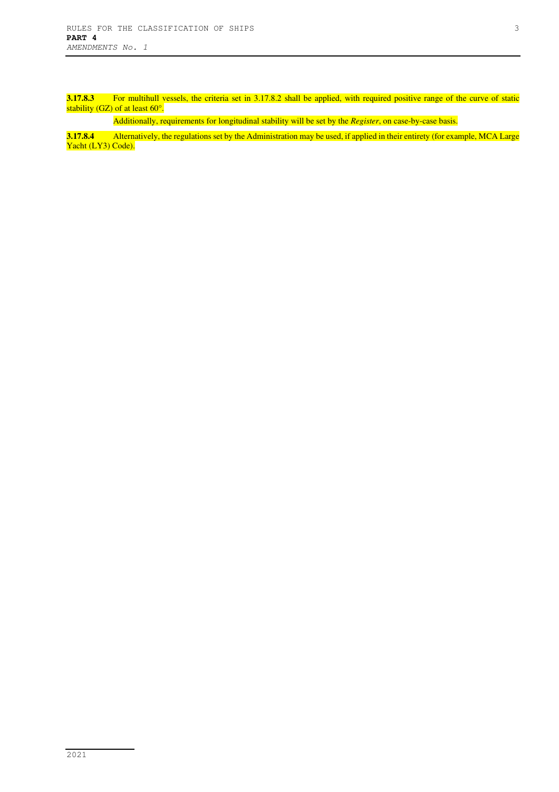**3.17.8.3** For multihull vessels, the criteria set in 3.17.8.2 shall be applied, with required positive range of the curve of static stability (GZ) of at least 60°.

Additionally, requirements for longitudinal stability will be set by the *Register*, on case-by-case basis.

**3.17.8.4** Alternatively, the regulations set by the Administration may be used, if applied in their entirety (for example, MCA Large Yacht (LY3) Code).